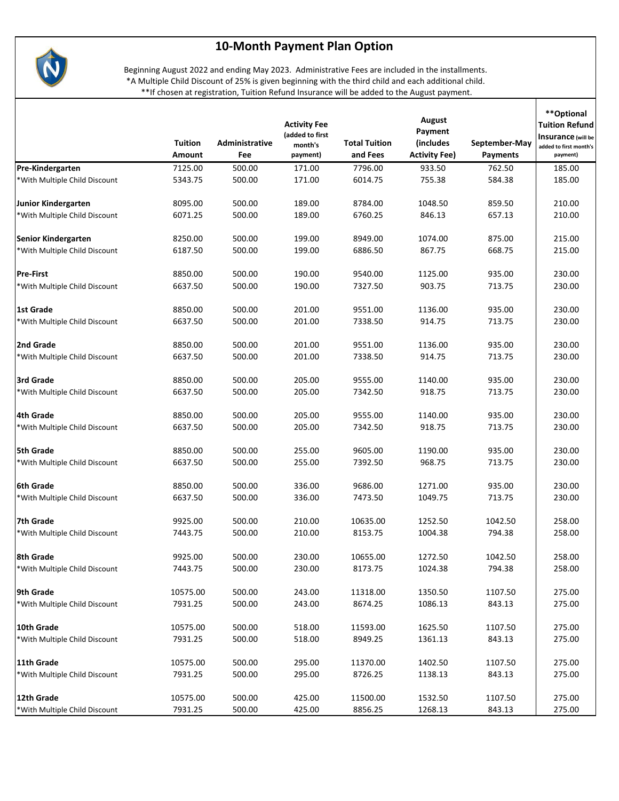



Beginning August 2022 and ending May 2023. Administrative Fees are included in the installments. \*A Multiple Child Discount of 25% is given beginning with the third child and each additional child. \*\*If chosen at registration, Tuition Refund Insurance will be added to the August payment.

T

|                               | Tuition<br>Amount | Administrative<br>Fee | <b>Activity Fee</b><br>(added to first<br>month's<br>payment) | <b>Total Tuition</b><br>and Fees | August<br>Payment<br>(includes<br><b>Activity Fee)</b> | September-May<br><b>Payments</b> | **Optional<br><b>Tuition Refund</b><br><b>Insurance</b> (will be<br>added to first month's<br>payment) |
|-------------------------------|-------------------|-----------------------|---------------------------------------------------------------|----------------------------------|--------------------------------------------------------|----------------------------------|--------------------------------------------------------------------------------------------------------|
| Pre-Kindergarten              | 7125.00           | 500.00                | 171.00                                                        | 7796.00                          | 933.50                                                 | 762.50                           | 185.00                                                                                                 |
| *With Multiple Child Discount | 5343.75           | 500.00                | 171.00                                                        | 6014.75                          | 755.38                                                 | 584.38                           | 185.00                                                                                                 |
| Junior Kindergarten           | 8095.00           | 500.00                | 189.00                                                        | 8784.00                          | 1048.50                                                | 859.50                           | 210.00                                                                                                 |
| *With Multiple Child Discount | 6071.25           | 500.00                | 189.00                                                        | 6760.25                          | 846.13                                                 | 657.13                           | 210.00                                                                                                 |
| Senior Kindergarten           | 8250.00           | 500.00                | 199.00                                                        | 8949.00                          | 1074.00                                                | 875.00                           | 215.00                                                                                                 |
| *With Multiple Child Discount | 6187.50           | 500.00                | 199.00                                                        | 6886.50                          | 867.75                                                 | 668.75                           | 215.00                                                                                                 |
| <b>Pre-First</b>              | 8850.00           | 500.00                | 190.00                                                        | 9540.00                          | 1125.00                                                | 935.00                           | 230.00                                                                                                 |
| *With Multiple Child Discount | 6637.50           | 500.00                | 190.00                                                        | 7327.50                          | 903.75                                                 | 713.75                           | 230.00                                                                                                 |
| l 1st Grade                   | 8850.00           | 500.00                | 201.00                                                        | 9551.00                          | 1136.00                                                | 935.00                           | 230.00                                                                                                 |
| *With Multiple Child Discount | 6637.50           | 500.00                | 201.00                                                        | 7338.50                          | 914.75                                                 | 713.75                           | 230.00                                                                                                 |
| 2nd Grade                     | 8850.00           | 500.00                | 201.00                                                        | 9551.00                          | 1136.00                                                | 935.00                           | 230.00                                                                                                 |
| *With Multiple Child Discount | 6637.50           | 500.00                | 201.00                                                        | 7338.50                          | 914.75                                                 | 713.75                           | 230.00                                                                                                 |
| 3rd Grade                     | 8850.00           | 500.00                | 205.00                                                        | 9555.00                          | 1140.00                                                | 935.00                           | 230.00                                                                                                 |
| *With Multiple Child Discount | 6637.50           | 500.00                | 205.00                                                        | 7342.50                          | 918.75                                                 | 713.75                           | 230.00                                                                                                 |
| 4th Grade                     | 8850.00           | 500.00                | 205.00                                                        | 9555.00                          | 1140.00                                                | 935.00                           | 230.00                                                                                                 |
| *With Multiple Child Discount | 6637.50           | 500.00                | 205.00                                                        | 7342.50                          | 918.75                                                 | 713.75                           | 230.00                                                                                                 |
| 5th Grade                     | 8850.00           | 500.00                | 255.00                                                        | 9605.00                          | 1190.00                                                | 935.00                           | 230.00                                                                                                 |
| *With Multiple Child Discount | 6637.50           | 500.00                | 255.00                                                        | 7392.50                          | 968.75                                                 | 713.75                           | 230.00                                                                                                 |
| 6th Grade                     | 8850.00           | 500.00                | 336.00                                                        | 9686.00                          | 1271.00                                                | 935.00                           | 230.00                                                                                                 |
| *With Multiple Child Discount | 6637.50           | 500.00                | 336.00                                                        | 7473.50                          | 1049.75                                                | 713.75                           | 230.00                                                                                                 |
| 7th Grade                     | 9925.00           | 500.00                | 210.00                                                        | 10635.00                         | 1252.50                                                | 1042.50                          | 258.00                                                                                                 |
| *With Multiple Child Discount | 7443.75           | 500.00                | 210.00                                                        | 8153.75                          | 1004.38                                                | 794.38                           | 258.00                                                                                                 |
| 8th Grade                     | 9925.00           | 500.00                | 230.00                                                        | 10655.00                         | 1272.50                                                | 1042.50                          | 258.00                                                                                                 |
| *With Multiple Child Discount | 7443.75           | 500.00                | 230.00                                                        | 8173.75                          | 1024.38                                                | 794.38                           | 258.00                                                                                                 |
| 9th Grade                     | 10575.00          | 500.00                | 243.00                                                        | 11318.00                         | 1350.50                                                | 1107.50                          | 275.00                                                                                                 |
| *With Multiple Child Discount | 7931.25           | 500.00                | 243.00                                                        | 8674.25                          | 1086.13                                                | 843.13                           | 275.00                                                                                                 |
| 10th Grade                    | 10575.00          | 500.00                | 518.00                                                        | 11593.00                         | 1625.50                                                | 1107.50                          | 275.00                                                                                                 |
| *With Multiple Child Discount | 7931.25           | 500.00                | 518.00                                                        | 8949.25                          | 1361.13                                                | 843.13                           | 275.00                                                                                                 |
| 11th Grade                    | 10575.00          | 500.00                | 295.00                                                        | 11370.00                         | 1402.50                                                | 1107.50                          | 275.00                                                                                                 |
| *With Multiple Child Discount | 7931.25           | 500.00                | 295.00                                                        | 8726.25                          | 1138.13                                                | 843.13                           | 275.00                                                                                                 |
| 12th Grade                    | 10575.00          | 500.00                | 425.00                                                        | 11500.00                         | 1532.50                                                | 1107.50                          | 275.00                                                                                                 |
| *With Multiple Child Discount | 7931.25           | 500.00                | 425.00                                                        | 8856.25                          | 1268.13                                                | 843.13                           | 275.00                                                                                                 |